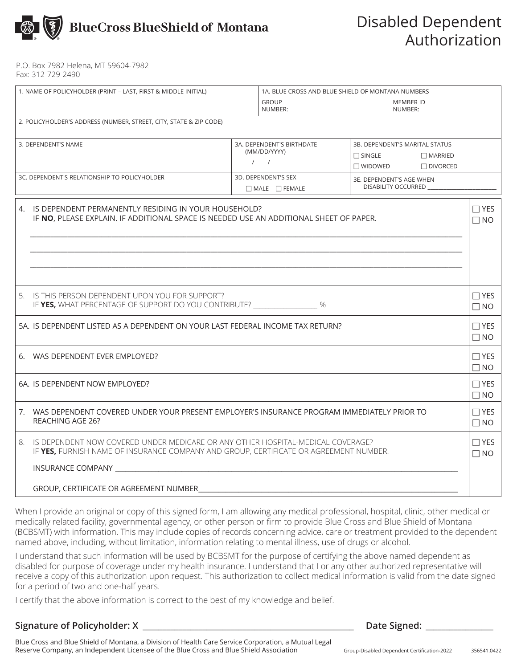

P.O. Box 7982 Helena, MT 59604-7982 Fax: 312-729-2490

| 1. NAME OF POLICYHOLDER (PRINT - LAST, FIRST & MIDDLE INITIAL)                                                                                    |                                                                                                                                                                             | 1A. BLUE CROSS AND BLUE SHIELD OF MONTANA NUMBERS          |                                                                                                   |                             |                         |  |  |  |
|---------------------------------------------------------------------------------------------------------------------------------------------------|-----------------------------------------------------------------------------------------------------------------------------------------------------------------------------|------------------------------------------------------------|---------------------------------------------------------------------------------------------------|-----------------------------|-------------------------|--|--|--|
|                                                                                                                                                   |                                                                                                                                                                             |                                                            | <b>GROUP</b><br>NUMBER:                                                                           | <b>MEMBER ID</b><br>NUMBER: |                         |  |  |  |
| 2. POLICYHOLDER'S ADDRESS (NUMBER, STREET, CITY, STATE & ZIP CODE)                                                                                |                                                                                                                                                                             |                                                            |                                                                                                   |                             |                         |  |  |  |
| 3. DEPENDENT'S NAME                                                                                                                               |                                                                                                                                                                             | 3A. DEPENDENT'S BIRTHDATE<br>(MM/DD/YYYY)<br>$\frac{1}{2}$ | 3B. DEPENDENT'S MARITAL STATUS<br>$\Box$ SINGLE<br>$\Box$ MARRIED<br>$\Box$ WIDOWED<br>□ DIVORCED |                             |                         |  |  |  |
| 3C. DEPENDENT'S RELATIONSHIP TO POLICYHOLDER                                                                                                      |                                                                                                                                                                             | 3D. DEPENDENT'S SEX<br>$\Box$ MALE $\Box$ FEMALE           | 3E. DEPENDENT'S AGE WHEN<br>DISABILITY OCCURRED                                                   |                             |                         |  |  |  |
| 4. IS DEPENDENT PERMANENTLY RESIDING IN YOUR HOUSEHOLD?<br>IF NO, PLEASE EXPLAIN. IF ADDITIONAL SPACE IS NEEDED USE AN ADDITIONAL SHEET OF PAPER. |                                                                                                                                                                             |                                                            |                                                                                                   |                             | $\Box$ YES<br>$\Box$ NO |  |  |  |
|                                                                                                                                                   | 5. IS THIS PERSON DEPENDENT UPON YOU FOR SUPPORT?<br>IF YES, WHAT PERCENTAGE OF SUPPORT DO YOU CONTRIBUTE? ___________________ %                                            |                                                            |                                                                                                   |                             | $\Box$ YES<br>$\Box$ NO |  |  |  |
| 5A. IS DEPENDENT LISTED AS A DEPENDENT ON YOUR LAST FEDERAL INCOME TAX RETURN?                                                                    |                                                                                                                                                                             |                                                            |                                                                                                   |                             | $\Box$ YES<br>$\Box$ NO |  |  |  |
|                                                                                                                                                   | 6. WAS DEPENDENT EVER EMPLOYED?                                                                                                                                             |                                                            |                                                                                                   |                             |                         |  |  |  |
|                                                                                                                                                   | 6A. IS DEPENDENT NOW EMPLOYED?                                                                                                                                              |                                                            |                                                                                                   |                             |                         |  |  |  |
|                                                                                                                                                   | 7. WAS DEPENDENT COVERED UNDER YOUR PRESENT EMPLOYER'S INSURANCE PROGRAM IMMEDIATELY PRIOR TO<br>REACHING AGE 26?                                                           |                                                            |                                                                                                   |                             |                         |  |  |  |
|                                                                                                                                                   | 8. IS DEPENDENT NOW COVERED UNDER MEDICARE OR ANY OTHER HOSPITAL-MEDICAL COVERAGE?<br>IF YES, FURNISH NAME OF INSURANCE COMPANY AND GROUP, CERTIFICATE OR AGREEMENT NUMBER. |                                                            |                                                                                                   |                             |                         |  |  |  |
|                                                                                                                                                   | INSURANCE COMPANY                                                                                                                                                           |                                                            |                                                                                                   |                             |                         |  |  |  |
|                                                                                                                                                   | GROUP, CERTIFICATE OR AGREEMENT NUMBER                                                                                                                                      |                                                            |                                                                                                   |                             |                         |  |  |  |

When I provide an original or copy of this signed form, I am allowing any medical professional, hospital, clinic, other medical or medically related facility, governmental agency, or other person or firm to provide Blue Cross and Blue Shield of Montana (BCBSMT) with information. This may include copies of records concerning advice, care or treatment provided to the dependent named above, including, without limitation, information relating to mental illness, use of drugs or alcohol.

I understand that such information will be used by BCBSMT for the purpose of certifying the above named dependent as disabled for purpose of coverage under my health insurance. I understand that I or any other authorized representative will receive a copy of this authorization upon request. This authorization to collect medical information is valid from the date signed for a period of two and one-half years.

I certify that the above information is correct to the best of my knowledge and belief.

**Signature of Policyholder: X \_\_\_\_\_\_\_\_\_\_\_\_\_\_\_\_\_\_\_\_\_\_\_\_\_\_\_\_\_\_\_\_\_\_\_\_\_\_\_\_\_\_\_\_\_\_\_\_\_\_\_\_\_ Date Signed: \_\_\_\_\_\_\_\_\_\_\_\_\_\_\_\_\_**

Blue Cross and Blue Shield of Montana, a Division of Health Care Service Corporation, a Mutual Legal Reserve Company, an Independent Licensee of the Blue Cross and Blue Shield Association Group-Disabled Dependent Certification-2022

356541.0422